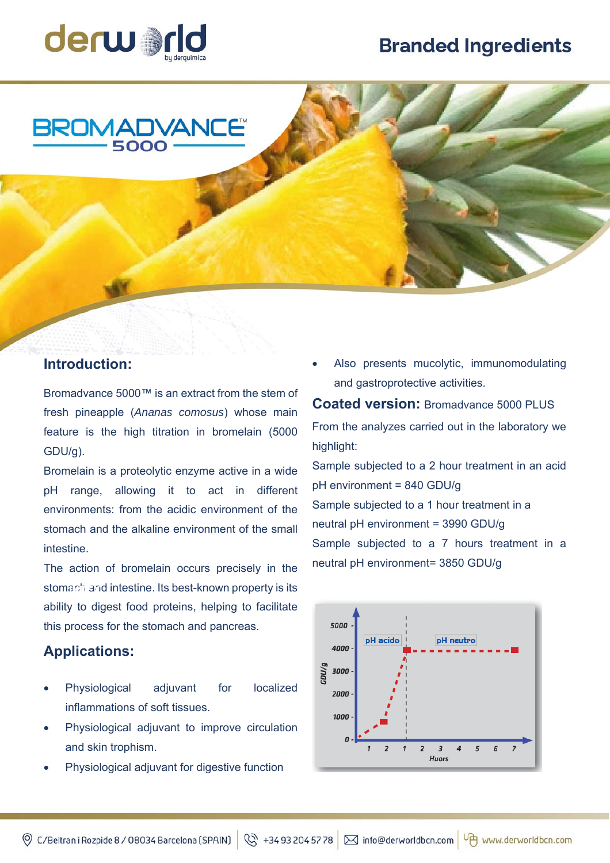## **Branded Ingredients**





## **Introduction:**

Bromadvance 5000™ is an extract from the stem of fresh pineapple (*Ananas comosus*) whose main feature is the high titration in bromelain (5000 GDU/g).

Bromelain is a proteolytic enzyme active in a wide pH range, allowing it to act in different environments: from the acidic environment of the stomach and the alkaline environment of the small intestine.

The action of bromelain occurs precisely in the stomach and intestine. Its best-known property is its **INDEX**ability to digest food proteins, helping to facilitate this process for the stomach and pancreas.

## **Applications:**

- Physiological adjuvant for localized inflammations of soft tissues.
- Physiological adjuvant to improve circulation and skin trophism.
- Physiological adjuvant for digestive function

 Also presents mucolytic, immunomodulating and gastroprotective activities.

**Coated version:** Bromadvance 5000 PLUS From the analyzes carried out in the laboratory we highlight: Sample subjected to a 2 hour treatment in an acid pH environment = 840 GDU/g Sample subjected to a 1 hour treatment in a

neutral pH environment = 3990 GDU/g Sample subjected to a 7 hours treatment in a neutral pH environment= 3850 GDU/g